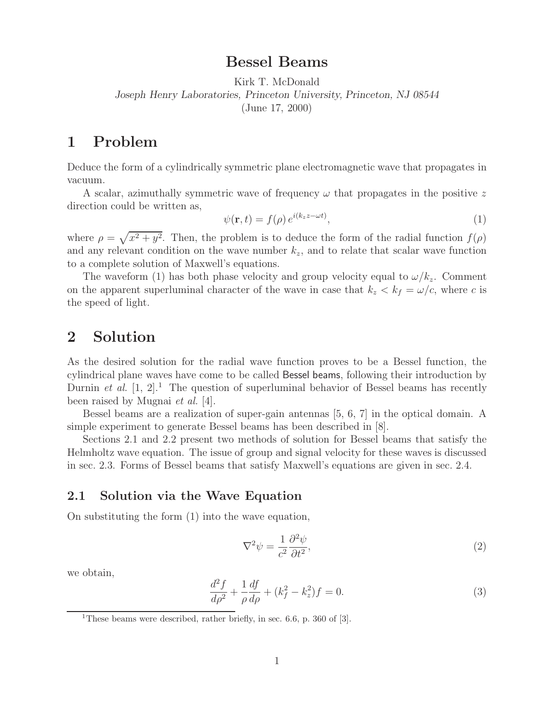# **Bessel Beams**

Kirk T. McDonald *Joseph Henry Laboratories, Princeton University, Princeton, NJ 08544* (June 17, 2000)

## **1 Problem**

Deduce the form of a cylindrically symmetric plane electromagnetic wave that propagates in vacuum.

A scalar, azimuthally symmetric wave of frequency  $\omega$  that propagates in the positive z direction could be written as,

$$
\psi(\mathbf{r},t) = f(\rho) e^{i(k_z z - \omega t)},\tag{1}
$$

where  $\rho = \sqrt{x^2 + y^2}$ . Then, the problem is to deduce the form of the radial function  $f(\rho)$ and any relevant condition on the wave number  $k_z$ , and to relate that scalar wave function to a complete solution of Maxwell's equations.

The waveform (1) has both phase velocity and group velocity equal to  $\omega/k_z$ . Comment on the apparent superluminal character of the wave in case that  $k_z < k_f = \omega/c$ , where c is the speed of light.

# **2 Solution**

As the desired solution for the radial wave function proves to be a Bessel function, the cylindrical plane waves have come to be called Bessel beams, following their introduction by Durnin *et al.*  $[1, 2]$ <sup>1</sup>. The question of superluminal behavior of Bessel beams has recently been raised by Mugnai *et al.* [4].

Bessel beams are a realization of super-gain antennas [5, 6, 7] in the optical domain. A simple experiment to generate Bessel beams has been described in [8].

Sections 2.1 and 2.2 present two methods of solution for Bessel beams that satisfy the Helmholtz wave equation. The issue of group and signal velocity for these waves is discussed in sec. 2.3. Forms of Bessel beams that satisfy Maxwell's equations are given in sec. 2.4.

## **2.1 Solution via the Wave Equation**

On substituting the form (1) into the wave equation,

$$
\nabla^2 \psi = \frac{1}{c^2} \frac{\partial^2 \psi}{\partial t^2},\tag{2}
$$

we obtain,

$$
\frac{d^2f}{d\rho^2} + \frac{1}{\rho}\frac{df}{d\rho} + (k_f^2 - k_z^2)f = 0.
$$
\n(3)

<sup>1</sup>These beams were described, rather briefly, in sec. 6.6, p. 360 of [3].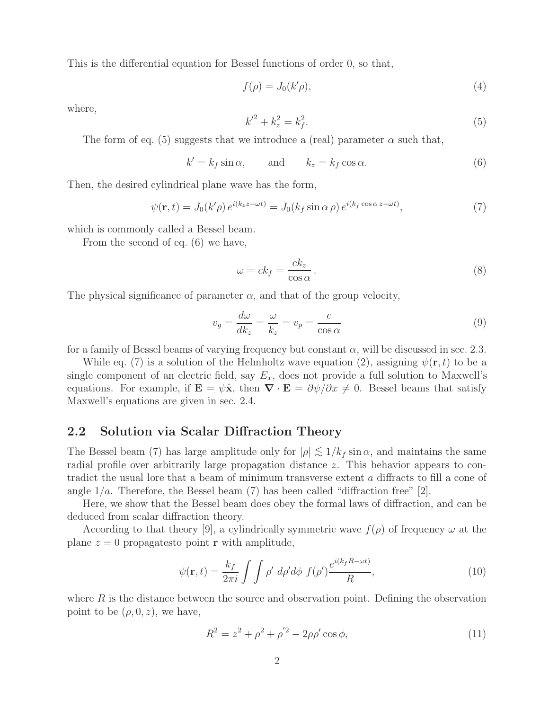This is the differential equation for Bessel functions of order 0, so that,

$$
f(\rho) = J_0(k'\rho),\tag{4}
$$

where,

$$
{k'}^2 + k_z^2 = k_f^2. \tag{5}
$$

The form of eq. (5) suggests that we introduce a (real) parameter  $\alpha$  such that,

$$
k' = k_f \sin \alpha, \qquad \text{and} \qquad k_z = k_f \cos \alpha. \tag{6}
$$

Then, the desired cylindrical plane wave has the form,

$$
\psi(\mathbf{r},t) = J_0(k'\rho) e^{i(k_z z - \omega t)} = J_0(k_f \sin \alpha \rho) e^{i(k_f \cos \alpha z - \omega t)},\tag{7}
$$

which is commonly called a Bessel beam.

From the second of eq. (6) we have,

$$
\omega = ck_f = \frac{ck_z}{\cos \alpha} \,. \tag{8}
$$

The physical significance of parameter  $\alpha$ , and that of the group velocity,

$$
v_g = \frac{d\omega}{dk_z} = \frac{\omega}{k_z} = v_p = \frac{c}{\cos\alpha} \tag{9}
$$

for a family of Bessel beams of varying frequency but constant  $\alpha$ , will be discussed in sec. 2.3.

While eq. (7) is a solution of the Helmholtz wave equation (2), assigning  $\psi(\mathbf{r},t)$  to be a single component of an electric field, say  $E_x$ , does not provide a full solution to Maxwell's equations. For example, if  $\mathbf{E} = \psi \hat{\mathbf{x}}$ , then  $\nabla \cdot \mathbf{E} = \partial \psi / \partial x \neq 0$ . Bessel beams that satisfy Maxwell's equations are given in sec. 2.4.

#### **2.2 Solution via Scalar Diffraction Theory**

The Bessel beam (7) has large amplitude only for  $|\rho| \lesssim 1/k_f \sin \alpha$ , and maintains the same radial profile over arbitrarily large propagation distance z. This behavior appears to contradict the usual lore that a beam of minimum transverse extent a diffracts to fill a cone of angle  $1/a$ . Therefore, the Bessel beam (7) has been called "diffraction free" [2].

Here, we show that the Bessel beam does obey the formal laws of diffraction, and can be deduced from scalar diffraction theory.

According to that theory [9], a cylindrically symmetric wave  $f(\rho)$  of frequency  $\omega$  at the plane  $z = 0$  propagatesto point **r** with amplitude,

$$
\psi(\mathbf{r},t) = \frac{k_f}{2\pi i} \int \int \rho' d\rho' d\phi f(\rho') \frac{e^{i(k_f R - \omega t)}}{R},\tag{10}
$$

where  $R$  is the distance between the source and observation point. Defining the observation point to be  $(\rho, 0, z)$ , we have,

$$
R^2 = z^2 + \rho^2 + \rho'^2 - 2\rho\rho'\cos\phi,
$$
\n(11)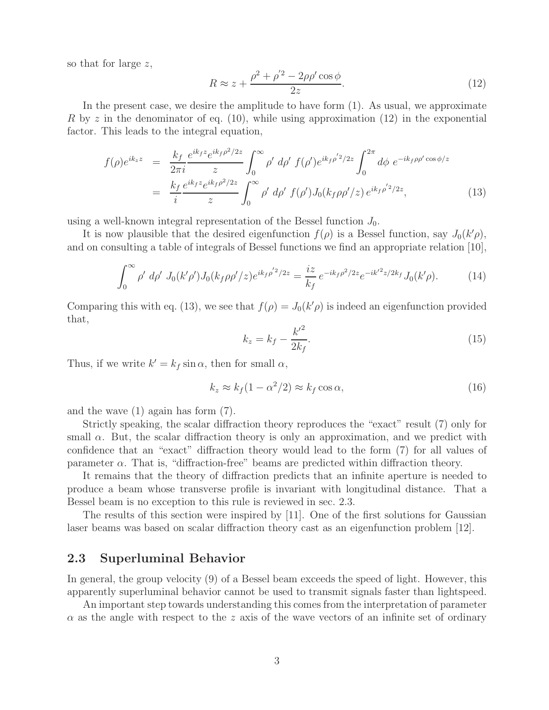so that for large z,

$$
R \approx z + \frac{\rho^2 + \rho'^2 - 2\rho\rho'\cos\phi}{2z}.\tag{12}
$$

In the present case, we desire the amplitude to have form (1). As usual, we approximate R by z in the denominator of eq. (10), while using approximation (12) in the exponential factor. This leads to the integral equation,

$$
f(\rho)e^{ik_z z} = \frac{k_f}{2\pi i} \frac{e^{ik_f z} e^{ik_f \rho^2/2z}}{z} \int_0^\infty \rho' d\rho' f(\rho') e^{ik_f \rho'^2/2z} \int_0^{2\pi} d\phi \ e^{-ik_f \rho \rho' \cos \phi/z}
$$
  
= 
$$
\frac{k_f}{i} \frac{e^{ik_f z} e^{ik_f \rho^2/2z}}{z} \int_0^\infty \rho' d\rho' f(\rho') J_0(k_f \rho \rho'/z) e^{ik_f \rho'^2/2z},
$$
(13)

using a well-known integral representation of the Bessel function  $J_0$ .

It is now plausible that the desired eigenfunction  $f(\rho)$  is a Bessel function, say  $J_0(k'\rho)$ , and on consulting a table of integrals of Bessel functions we find an appropriate relation [10],

$$
\int_0^\infty \rho' \, d\rho' \, J_0(k'\rho') J_0(k_f \rho \rho'/z) e^{ik_f \rho'^2/2z} = \frac{iz}{k_f} e^{-ik_f \rho^2/2z} e^{-ik'^2 z/2k_f} J_0(k'\rho). \tag{14}
$$

Comparing this with eq. (13), we see that  $f(\rho) = J_0(k'\rho)$  is indeed an eigenfunction provided that,

$$
k_z = k_f - \frac{k'^2}{2k_f}.
$$
 (15)

Thus, if we write  $k' = k_f \sin \alpha$ , then for small  $\alpha$ ,

$$
k_z \approx k_f (1 - \alpha^2 / 2) \approx k_f \cos \alpha, \qquad (16)
$$

and the wave (1) again has form (7).

Strictly speaking, the scalar diffraction theory reproduces the "exact" result (7) only for small  $\alpha$ . But, the scalar diffraction theory is only an approximation, and we predict with confidence that an "exact" diffraction theory would lead to the form (7) for all values of parameter  $\alpha$ . That is, "diffraction-free" beams are predicted within diffraction theory.

It remains that the theory of diffraction predicts that an infinite aperture is needed to produce a beam whose transverse profile is invariant with longitudinal distance. That a Bessel beam is no exception to this rule is reviewed in sec. 2.3.

The results of this section were inspired by [11]. One of the first solutions for Gaussian laser beams was based on scalar diffraction theory cast as an eigenfunction problem [12].

#### **2.3 Superluminal Behavior**

In general, the group velocity (9) of a Bessel beam exceeds the speed of light. However, this apparently superluminal behavior cannot be used to transmit signals faster than lightspeed.

An important step towards understanding this comes from the interpretation of parameter  $\alpha$  as the angle with respect to the z axis of the wave vectors of an infinite set of ordinary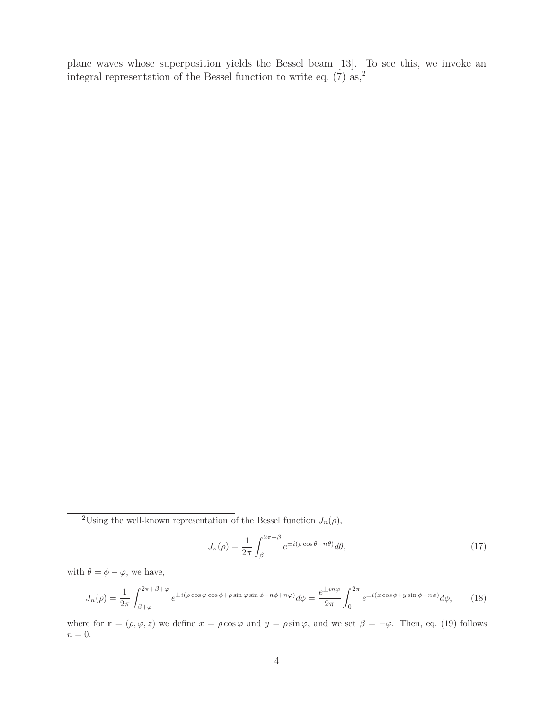plane waves whose superposition yields the Bessel beam [13]. To see this, we invoke an integral representation of the Bessel function to write eq.  $(7)$  as,<sup>2</sup>

$$
J_n(\rho) = \frac{1}{2\pi} \int_{\beta}^{2\pi+\beta} e^{\pm i(\rho\cos\theta - n\theta)} d\theta,
$$
\n(17)

with  $\theta = \phi - \varphi$ , we have,

$$
J_n(\rho) = \frac{1}{2\pi} \int_{\beta+\varphi}^{2\pi+\beta+\varphi} e^{\pm i(\rho\cos\varphi\cos\phi+\rho\sin\varphi\sin\phi-n\phi+n\varphi)} d\phi = \frac{e^{\pm in\varphi}}{2\pi} \int_0^{2\pi} e^{\pm i(x\cos\phi+y\sin\phi-n\phi)} d\phi, \qquad (18)
$$

where for  $\mathbf{r} = (\rho, \varphi, z)$  we define  $x = \rho \cos \varphi$  and  $y = \rho \sin \varphi$ , and we set  $\beta = -\varphi$ . Then, eq. (19) follows  $n = 0$ .

<sup>&</sup>lt;sup>2</sup>Using the well-known representation of the Bessel function  $J_n(\rho)$ ,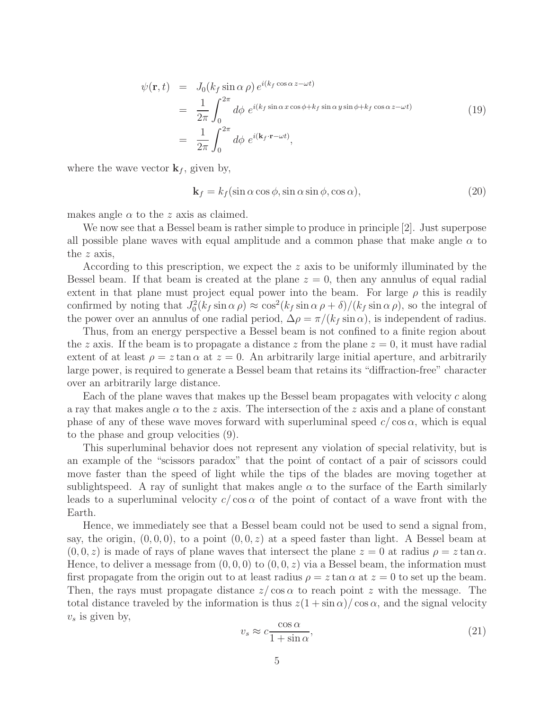$$
\psi(\mathbf{r},t) = J_0(k_f \sin \alpha \rho) e^{i(k_f \cos \alpha z - \omega t)} \n= \frac{1}{2\pi} \int_0^{2\pi} d\phi e^{i(k_f \sin \alpha x \cos \phi + k_f \sin \alpha y \sin \phi + k_f \cos \alpha z - \omega t)} \n= \frac{1}{2\pi} \int_0^{2\pi} d\phi e^{i(\mathbf{k}_f \cdot \mathbf{r} - \omega t)},
$$
\n(19)

where the wave vector  $\mathbf{k}_f$ , given by,

$$
\mathbf{k}_f = k_f (\sin \alpha \cos \phi, \sin \alpha \sin \phi, \cos \alpha), \tag{20}
$$

makes angle  $\alpha$  to the z axis as claimed.

We now see that a Bessel beam is rather simple to produce in principle [2]. Just superpose all possible plane waves with equal amplitude and a common phase that make angle  $\alpha$  to the z axis,

According to this prescription, we expect the z axis to be uniformly illuminated by the Bessel beam. If that beam is created at the plane  $z = 0$ , then any annulus of equal radial extent in that plane must project equal power into the beam. For large  $\rho$  this is readily confirmed by noting that  $J_0^2(k_f \sin \alpha \rho) \approx \cos^2(k_f \sin \alpha \rho + \delta)/(k_f \sin \alpha \rho)$ , so the integral of the power over an annulus of one radial period,  $\Delta \rho = \pi/(k_f \sin \alpha)$ , is independent of radius.

Thus, from an energy perspective a Bessel beam is not confined to a finite region about the z axis. If the beam is to propagate a distance z from the plane  $z = 0$ , it must have radial extent of at least  $\rho = z \tan \alpha$  at  $z = 0$ . An arbitrarily large initial aperture, and arbitrarily large power, is required to generate a Bessel beam that retains its "diffraction-free" character over an arbitrarily large distance.

Each of the plane waves that makes up the Bessel beam propagates with velocity c along a ray that makes angle  $\alpha$  to the z axis. The intersection of the z axis and a plane of constant phase of any of these wave moves forward with superluminal speed  $c/\cos \alpha$ , which is equal to the phase and group velocities (9).

This superluminal behavior does not represent any violation of special relativity, but is an example of the "scissors paradox" that the point of contact of a pair of scissors could move faster than the speed of light while the tips of the blades are moving together at sublightspeed. A ray of sunlight that makes angle  $\alpha$  to the surface of the Earth similarly leads to a superluminal velocity  $c/\cos \alpha$  of the point of contact of a wave front with the Earth.

Hence, we immediately see that a Bessel beam could not be used to send a signal from, say, the origin,  $(0, 0, 0)$ , to a point  $(0, 0, z)$  at a speed faster than light. A Bessel beam at  $(0, 0, z)$  is made of rays of plane waves that intersect the plane  $z = 0$  at radius  $\rho = z \tan \alpha$ . Hence, to deliver a message from  $(0, 0, 0)$  to  $(0, 0, z)$  via a Bessel beam, the information must first propagate from the origin out to at least radius  $\rho = z \tan \alpha$  at  $z = 0$  to set up the beam. Then, the rays must propagate distance  $z/\cos \alpha$  to reach point z with the message. The total distance traveled by the information is thus  $z(1 + \sin \alpha)/\cos \alpha$ , and the signal velocity  $v_s$  is given by,

$$
v_s \approx c \frac{\cos \alpha}{1 + \sin \alpha},\tag{21}
$$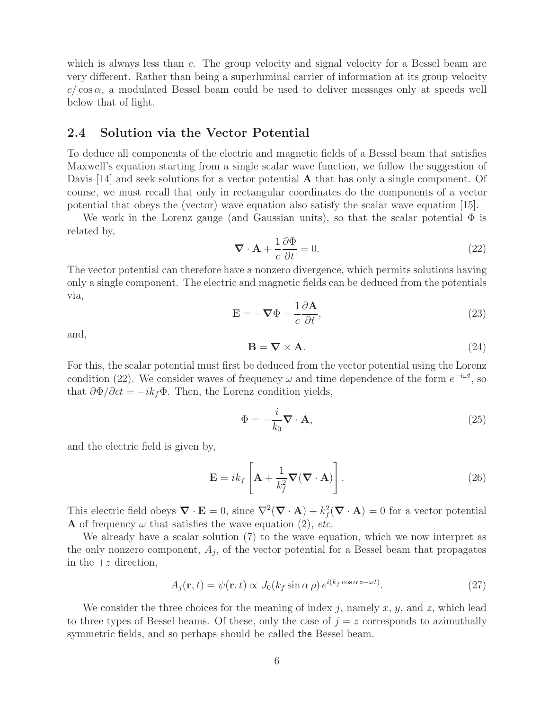which is always less than c. The group velocity and signal velocity for a Bessel beam are very different. Rather than being a superluminal carrier of information at its group velocity  $c/\cos\alpha$ , a modulated Bessel beam could be used to deliver messages only at speeds well below that of light.

#### **2.4 Solution via the Vector Potential**

To deduce all components of the electric and magnetic fields of a Bessel beam that satisfies Maxwell's equation starting from a single scalar wave function, we follow the suggestion of Davis [14] and seek solutions for a vector potential **A** that has only a single component. Of course, we must recall that only in rectangular coordinates do the components of a vector potential that obeys the (vector) wave equation also satisfy the scalar wave equation [15].

We work in the Lorenz gauge (and Gaussian units), so that the scalar potential  $\Phi$  is related by,

$$
\nabla \cdot \mathbf{A} + \frac{1}{c} \frac{\partial \Phi}{\partial t} = 0.
$$
 (22)

The vector potential can therefore have a nonzero divergence, which permits solutions having only a single component. The electric and magnetic fields can be deduced from the potentials via,

$$
\mathbf{E} = -\nabla\Phi - \frac{1}{c}\frac{\partial\mathbf{A}}{\partial t},\tag{23}
$$

and,

$$
\mathbf{B} = \nabla \times \mathbf{A}.\tag{24}
$$

For this, the scalar potential must first be deduced from the vector potential using the Lorenz condition (22). We consider waves of frequency  $\omega$  and time dependence of the form  $e^{-i\omega t}$ , so that  $\partial \Phi / \partial ct = -ik_f \Phi$ . Then, the Lorenz condition yields,

$$
\Phi = -\frac{i}{k_0} \nabla \cdot \mathbf{A},\tag{25}
$$

and the electric field is given by,

$$
\mathbf{E} = ik_f \left[ \mathbf{A} + \frac{1}{k_f^2} \nabla (\nabla \cdot \mathbf{A}) \right].
$$
 (26)

This electric field obeys  $\nabla \cdot \mathbf{E} = 0$ , since  $\nabla^2 (\nabla \cdot \mathbf{A}) + k_f^2 (\nabla \cdot \mathbf{A}) = 0$  for a vector potential  $\Lambda$  of frequency (*x*) that satisfies the wave equation (2) at **A** of frequency  $\omega$  that satisfies the wave equation (2), *etc.* 

We already have a scalar solution (7) to the wave equation, which we now interpret as the only nonzero component,  $A_j$ , of the vector potential for a Bessel beam that propagates in the  $+z$  direction,

$$
A_j(\mathbf{r},t) = \psi(\mathbf{r},t) \propto J_0(k_f \sin \alpha \,\rho) \, e^{i(k_f \cos \alpha \, z - \omega t)}.\tag{27}
$$

We consider the three choices for the meaning of index j, namely x, y, and z, which lead to three types of Bessel beams. Of these, only the case of  $j = z$  corresponds to azimuthally symmetric fields, and so perhaps should be called the Bessel beam.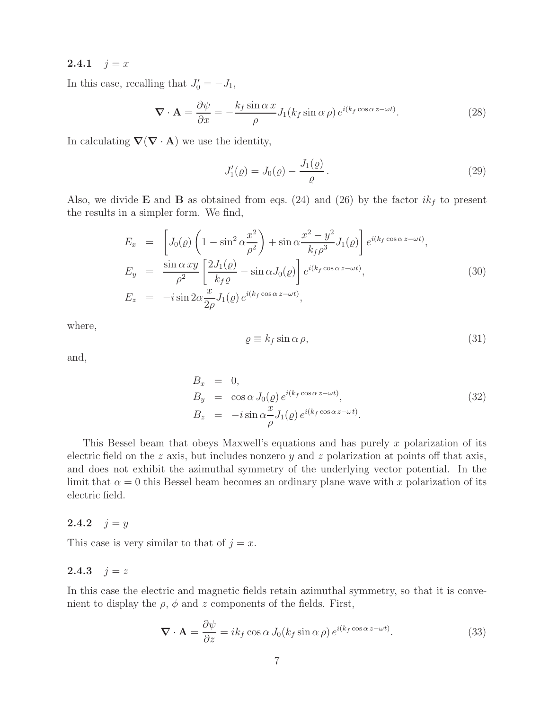#### **2.4.1**  $j = x$

In this case, recalling that  $J'_0 = -J_1$ ,

$$
\nabla \cdot \mathbf{A} = \frac{\partial \psi}{\partial x} = -\frac{k_f \sin \alpha x}{\rho} J_1(k_f \sin \alpha \rho) e^{i(k_f \cos \alpha z - \omega t)}.
$$
 (28)

In calculating  $\nabla(\nabla \cdot \mathbf{A})$  we use the identity,

$$
J_1'(\varrho) = J_0(\varrho) - \frac{J_1(\varrho)}{\varrho}.
$$
\n(29)

Also, we divide **E** and **B** as obtained from eqs. (24) and (26) by the factor  $ik_f$  to present the results in a simpler form. We find,

$$
E_x = \left[ J_0(\varrho) \left( 1 - \sin^2 \alpha \frac{x^2}{\rho^2} \right) + \sin \alpha \frac{x^2 - y^2}{k_f \rho^3} J_1(\varrho) \right] e^{i(k_f \cos \alpha z - \omega t)},
$$
  
\n
$$
E_y = \frac{\sin \alpha xy}{\rho^2} \left[ \frac{2J_1(\varrho)}{k_f \varrho} - \sin \alpha J_0(\varrho) \right] e^{i(k_f \cos \alpha z - \omega t)},
$$
  
\n
$$
E_z = -i \sin 2\alpha \frac{x}{2\rho} J_1(\varrho) e^{i(k_f \cos \alpha z - \omega t)},
$$
\n(30)

where,

$$
\varrho \equiv k_f \sin \alpha \, \rho,\tag{31}
$$

and,

$$
B_x = 0,
$$
  
\n
$$
B_y = \cos \alpha J_0(\varrho) e^{i(k_f \cos \alpha z - \omega t)},
$$
  
\n
$$
B_z = -i \sin \alpha \frac{x}{\rho} J_1(\varrho) e^{i(k_f \cos \alpha z - \omega t)}.
$$
\n(32)

This Bessel beam that obeys Maxwell's equations and has purely  $x$  polarization of its electric field on the z axis, but includes nonzero y and z polarization at points off that axis, and does not exhibit the azimuthal symmetry of the underlying vector potential. In the limit that  $\alpha = 0$  this Bessel beam becomes an ordinary plane wave with x polarization of its electric field.

#### **2.4.2**  $j = y$

This case is very similar to that of  $j = x$ .

#### **2.4.3**  $j = z$

In this case the electric and magnetic fields retain azimuthal symmetry, so that it is convenient to display the  $\rho$ ,  $\phi$  and z components of the fields. First,

$$
\nabla \cdot \mathbf{A} = \frac{\partial \psi}{\partial z} = ik_f \cos \alpha J_0(k_f \sin \alpha \rho) e^{i(k_f \cos \alpha z - \omega t)}.
$$
 (33)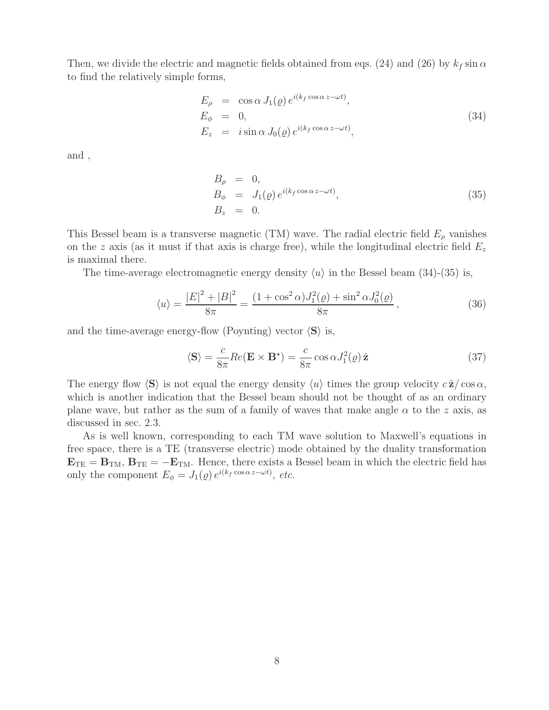Then, we divide the electric and magnetic fields obtained from eqs. (24) and (26) by  $k_f \sin \alpha$ to find the relatively simple forms,

$$
E_{\rho} = \cos \alpha J_1(\varrho) e^{i(k_f \cos \alpha z - \omega t)},
$$
  
\n
$$
E_{\phi} = 0,
$$
  
\n
$$
E_z = i \sin \alpha J_0(\varrho) e^{i(k_f \cos \alpha z - \omega t)},
$$
\n(34)

and ,

$$
B_{\rho} = 0,
$$
  
\n
$$
B_{\phi} = J_1(\rho) e^{i(k_f \cos \alpha z - \omega t)},
$$
  
\n
$$
B_z = 0.
$$
\n(35)

This Bessel beam is a transverse magnetic (TM) wave. The radial electric field  $E_{\rho}$  vanishes on the z axis (as it must if that axis is charge free), while the longitudinal electric field  $E_z$ is maximal there.

The time-average electromagnetic energy density  $\langle u \rangle$  in the Bessel beam (34)-(35) is,

$$
\langle u \rangle = \frac{|E|^2 + |B|^2}{8\pi} = \frac{(1 + \cos^2 \alpha)J_1^2(\varrho) + \sin^2 \alpha J_0^2(\varrho)}{8\pi},
$$
\n(36)

and the time-average energy-flow (Poynting) vector  $\langle S \rangle$  is,

$$
\langle \mathbf{S} \rangle = \frac{c}{8\pi} Re(\mathbf{E} \times \mathbf{B}^*) = \frac{c}{8\pi} \cos \alpha J_1^2(\varrho) \hat{\mathbf{z}}
$$
(37)

The energy flow  $\langle S \rangle$  is not equal the energy density  $\langle u \rangle$  times the group velocity  $c \hat{\mathbf{z}} / \cos \alpha$ , which is another indication that the Bessel beam should not be thought of as an ordinary plane wave, but rather as the sum of a family of waves that make angle  $\alpha$  to the z axis, as discussed in sec. 2.3.

As is well known, corresponding to each TM wave solution to Maxwell's equations in free space, there is a TE (transverse electric) mode obtained by the duality transformation  $E_{TE} = B_{TM}$ ,  $B_{TE} = -E_{TM}$ . Hence, there exists a Bessel beam in which the electric field has only the component  $E_{\phi} = J_1(\varrho) e^{i(k_f \cos \alpha z - \omega t)}$ , *etc.*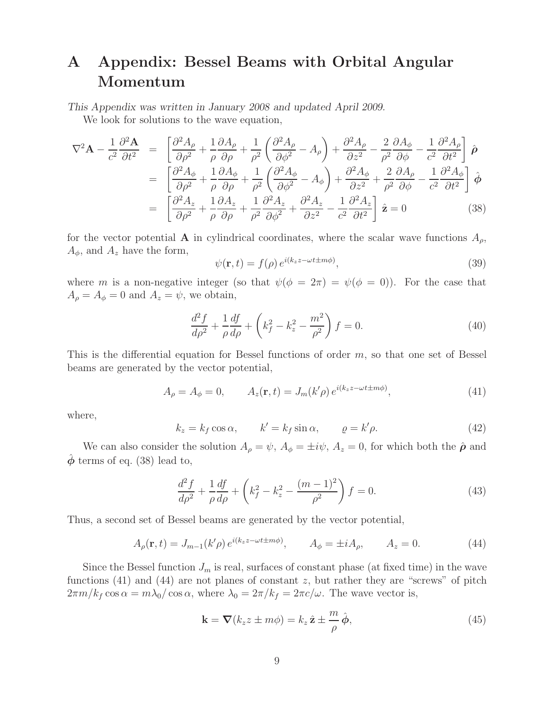# **A Appendix: Bessel Beams with Orbital Angular Momentum**

*This Appendix was written in January 2008 and updated April 2009.*

We look for solutions to the wave equation,

$$
\nabla^2 \mathbf{A} - \frac{1}{c^2} \frac{\partial^2 \mathbf{A}}{\partial t^2} = \begin{bmatrix} \frac{\partial^2 A_{\rho}}{\partial \rho^2} + \frac{1}{\rho} \frac{\partial A_{\rho}}{\partial \rho} + \frac{1}{\rho^2} \left( \frac{\partial^2 A_{\rho}}{\partial \phi^2} - A_{\rho} \right) + \frac{\partial^2 A_{\rho}}{\partial z^2} - \frac{2}{\rho^2} \frac{\partial A_{\phi}}{\partial \phi} - \frac{1}{c^2} \frac{\partial^2 A_{\rho}}{\partial t^2} \end{bmatrix} \hat{\boldsymbol{\rho}}
$$
  
\n
$$
= \begin{bmatrix} \frac{\partial^2 A_{\phi}}{\partial \rho^2} + \frac{1}{\rho} \frac{\partial A_{\phi}}{\partial \rho} + \frac{1}{\rho^2} \left( \frac{\partial^2 A_{\phi}}{\partial \phi^2} - A_{\phi} \right) + \frac{\partial^2 A_{\phi}}{\partial z^2} + \frac{2}{\rho^2} \frac{\partial A_{\rho}}{\partial \phi} - \frac{1}{c^2} \frac{\partial^2 A_{\phi}}{\partial t^2} \end{bmatrix} \hat{\boldsymbol{\phi}}
$$
  
\n
$$
= \begin{bmatrix} \frac{\partial^2 A_z}{\partial \rho^2} + \frac{1}{\rho} \frac{\partial A_z}{\partial \rho} + \frac{1}{\rho^2} \frac{\partial^2 A_z}{\partial \phi^2} + \frac{\partial^2 A_z}{\partial z^2} - \frac{1}{c^2} \frac{\partial^2 A_z}{\partial t^2} \end{bmatrix} \hat{\mathbf{z}} = 0
$$
 (38)

for the vector potential **A** in cylindrical coordinates, where the scalar wave functions  $A_{\rho}$ ,  $A_{\phi}$ , and  $A_z$  have the form,

$$
\psi(\mathbf{r},t) = f(\rho) e^{i(k_z z - \omega t \pm m\phi)},\tag{39}
$$

where m is a non-negative integer (so that  $\psi(\phi = 2\pi) = \psi(\phi = 0)$ ). For the case that  $A_{\rho} = A_{\phi} = 0$  and  $A_{z} = \psi$ , we obtain,

$$
\frac{d^2f}{d\rho^2} + \frac{1}{\rho}\frac{df}{d\rho} + \left(k_f^2 - k_z^2 - \frac{m^2}{\rho^2}\right)f = 0.
$$
\n(40)

This is the differential equation for Bessel functions of order  $m$ , so that one set of Bessel beams are generated by the vector potential,

$$
A_{\rho} = A_{\phi} = 0, \qquad A_z(\mathbf{r}, t) = J_m(k' \rho) e^{i(k_z z - \omega t \pm m\phi)}, \tag{41}
$$

where,

$$
k_z = k_f \cos \alpha, \qquad k' = k_f \sin \alpha, \qquad \varrho = k' \rho. \tag{42}
$$

We can also consider the solution  $A_{\rho} = \psi$ ,  $A_{\phi} = \pm i\psi$ ,  $A_{z} = 0$ , for which both the  $\hat{\rho}$  and  $\phi$  terms of eq. (38) lead to,

$$
\frac{d^2f}{d\rho^2} + \frac{1}{\rho}\frac{df}{d\rho} + \left(k_f^2 - k_z^2 - \frac{(m-1)^2}{\rho^2}\right)f = 0.
$$
\n(43)

Thus, a second set of Bessel beams are generated by the vector potential,

$$
A_{\rho}(\mathbf{r},t) = J_{m-1}(k'\rho) e^{i(k_z z - \omega t \pm m\phi)}, \qquad A_{\phi} = \pm i A_{\rho}, \qquad A_z = 0.
$$
 (44)

Since the Bessel function  $J_m$  is real, surfaces of constant phase (at fixed time) in the wave functions  $(41)$  and  $(44)$  are not planes of constant z, but rather they are "screws" of pitch  $2\pi m/k_f \cos \alpha = m\lambda_0/\cos \alpha$ , where  $\lambda_0 = 2\pi/k_f = 2\pi c/\omega$ . The wave vector is,

$$
\mathbf{k} = \nabla (k_z z \pm m\phi) = k_z \,\hat{\mathbf{z}} \pm \frac{m}{\rho} \,\hat{\boldsymbol{\phi}},\tag{45}
$$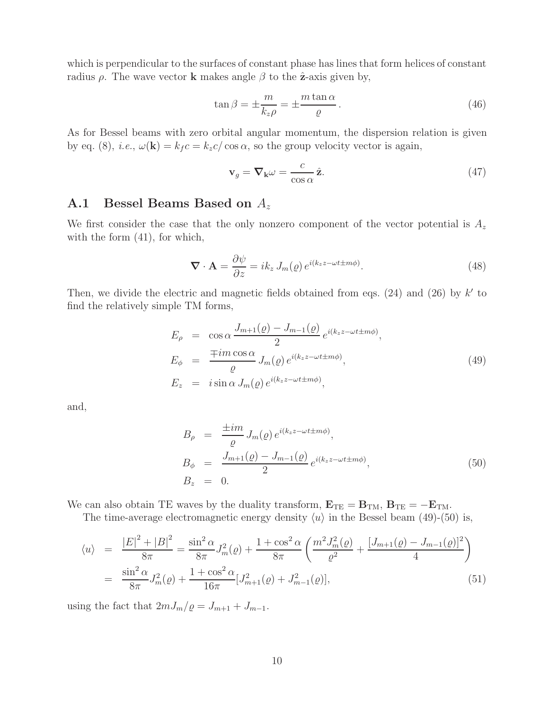which is perpendicular to the surfaces of constant phase has lines that form helices of constant radius  $\rho$ . The wave vector **k** makes angle  $\beta$  to the  $\hat{\mathbf{z}}$ -axis given by,

$$
\tan \beta = \pm \frac{m}{k_z \rho} = \pm \frac{m \tan \alpha}{\varrho} \,. \tag{46}
$$

As for Bessel beams with zero orbital angular momentum, the dispersion relation is given by eq. (8), *i.e.*,  $\omega(\mathbf{k}) = k_f c = k_z c / \cos \alpha$ , so the group velocity vector is again,

$$
\mathbf{v}_g = \nabla_{\mathbf{k}} \omega = \frac{c}{\cos \alpha} \hat{\mathbf{z}}.\tag{47}
$$

## **A.1 Bessel Beams Based on** A<sup>z</sup>

We first consider the case that the only nonzero component of the vector potential is  $A_z$ with the form  $(41)$ , for which,

$$
\nabla \cdot \mathbf{A} = \frac{\partial \psi}{\partial z} = i k_z J_m(\varrho) e^{i(k_z z - \omega t \pm m\phi)}.
$$
 (48)

Then, we divide the electric and magnetic fields obtained from eqs.  $(24)$  and  $(26)$  by k' to find the relatively simple TM forms,

$$
E_{\rho} = \cos \alpha \frac{J_{m+1}(\rho) - J_{m-1}(\rho)}{2} e^{i(k_z z - \omega t \pm m\phi)},
$$
  
\n
$$
E_{\phi} = \frac{\mp im \cos \alpha}{\rho} J_m(\rho) e^{i(k_z z - \omega t \pm m\phi)},
$$
  
\n
$$
E_z = i \sin \alpha J_m(\rho) e^{i(k_z z - \omega t \pm m\phi)},
$$
\n(49)

and,

$$
B_{\rho} = \frac{\pm im}{\varrho} J_m(\varrho) e^{i(k_z z - \omega t \pm m\phi)},
$$
  
\n
$$
B_{\phi} = \frac{J_{m+1}(\varrho) - J_{m-1}(\varrho)}{2} e^{i(k_z z - \omega t \pm m\phi)},
$$
  
\n
$$
B_z = 0.
$$
\n(50)

We can also obtain TE waves by the duality transform,  $\mathbf{E}_{TE} = \mathbf{B}_{TM}$ ,  $\mathbf{B}_{TE} = -\mathbf{E}_{TM}$ .

The time-average electromagnetic energy density  $\langle u \rangle$  in the Bessel beam (49)-(50) is,

$$
\langle u \rangle = \frac{|E|^2 + |B|^2}{8\pi} = \frac{\sin^2 \alpha}{8\pi} J_m^2(\varrho) + \frac{1 + \cos^2 \alpha}{8\pi} \left( \frac{m^2 J_m^2(\varrho)}{\varrho^2} + \frac{[J_{m+1}(\varrho) - J_{m-1}(\varrho)]^2}{4} \right)
$$
  

$$
= \frac{\sin^2 \alpha}{8\pi} J_m^2(\varrho) + \frac{1 + \cos^2 \alpha}{16\pi} [J_{m+1}^2(\varrho) + J_{m-1}^2(\varrho)], \tag{51}
$$

using the fact that  $2mJ_m/\varrho = J_{m+1} + J_{m-1}$ .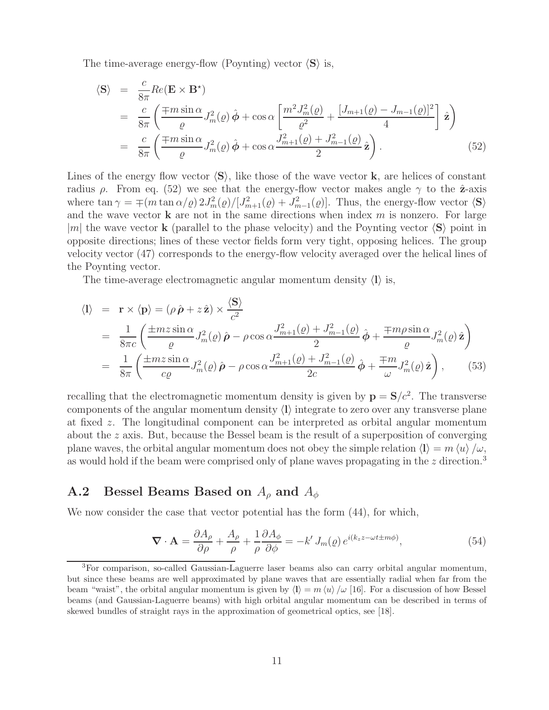The time-average energy-flow (Poynting) vector  $\langle S \rangle$  is,

$$
\langle \mathbf{S} \rangle = \frac{c}{8\pi} Re(\mathbf{E} \times \mathbf{B}^*)
$$
  
= 
$$
\frac{c}{8\pi} \left( \frac{\mp m \sin \alpha}{\varrho} J_m^2(\varrho) \hat{\boldsymbol{\phi}} + \cos \alpha \left[ \frac{m^2 J_m^2(\varrho)}{\varrho^2} + \frac{[J_{m+1}(\varrho) - J_{m-1}(\varrho)]^2}{4} \right] \hat{\mathbf{z}} \right)
$$
  
= 
$$
\frac{c}{8\pi} \left( \frac{\mp m \sin \alpha}{\varrho} J_m^2(\varrho) \hat{\boldsymbol{\phi}} + \cos \alpha \frac{J_{m+1}^2(\varrho) + J_{m-1}^2(\varrho)}{2} \hat{\mathbf{z}} \right).
$$
(52)

Lines of the energy flow vector  $\langle S \rangle$ , like those of the wave vector **k**, are helices of constant radius ρ. From eq. (52) we see that the energy-flow vector makes angle  $\gamma$  to the  $\hat{\mathbf{z}}$ -axis where  $\tan \gamma = \mp (m \tan \alpha/\varrho) 2J_m^2(\varrho)/[J_{m+1}^2(\varrho) + J_{m-1}^2(\varrho)]$ . Thus, the energy-flow vector **(S)** and the wave vector **k** are not in the same directions when index  $m$  is nonzero. For large |m| the wave vector **k** (parallel to the phase velocity) and the Poynting vector  $\langle S \rangle$  point in opposite directions; lines of these vector fields form very tight, opposing helices. The group velocity vector (47) corresponds to the energy-flow velocity averaged over the helical lines of the Poynting vector.

The time-average electromagnetic angular momentum density  $\langle \mathbf{l} \rangle$  is,

$$
\langle 1 \rangle = \mathbf{r} \times \langle \mathbf{p} \rangle = (\rho \hat{\boldsymbol{\rho}} + z \hat{\mathbf{z}}) \times \frac{\langle \mathbf{S} \rangle}{c^2}
$$
  
\n
$$
= \frac{1}{8\pi c} \left( \frac{\pm mz \sin \alpha}{\varrho} J_m^2(\varrho) \hat{\boldsymbol{\rho}} - \rho \cos \alpha \frac{J_{m+1}^2(\varrho) + J_{m-1}^2(\varrho)}{2} \hat{\boldsymbol{\phi}} + \frac{\mp m \rho \sin \alpha}{\varrho} J_m^2(\varrho) \hat{\mathbf{z}} \right)
$$
  
\n
$$
= \frac{1}{8\pi} \left( \frac{\pm mz \sin \alpha}{c\varrho} J_m^2(\varrho) \hat{\boldsymbol{\rho}} - \rho \cos \alpha \frac{J_{m+1}^2(\varrho) + J_{m-1}^2(\varrho)}{2c} \hat{\boldsymbol{\phi}} + \frac{\mp m}{\omega} J_m^2(\varrho) \hat{\mathbf{z}} \right), \qquad (53)
$$

recalling that the electromagnetic momentum density is given by  $\mathbf{p} = \mathbf{S}/c^2$ . The transverse components of the angular momentum density  $\langle \mathbf{l} \rangle$  integrate to zero over any transverse plane at fixed z. The longitudinal component can be interpreted as orbital angular momentum about the z axis. But, because the Bessel beam is the result of a superposition of converging plane waves, the orbital angular momentum does not obey the simple relation  $\langle \mathbf{l} \rangle = m \langle u \rangle / \omega$ , as would hold if the beam were comprised only of plane waves propagating in the  $z$  direction.<sup>3</sup>

## **A.2 Bessel Beams Based on** A<sup>ρ</sup> **and** A<sup>φ</sup>

We now consider the case that vector potential has the form  $(44)$ , for which,

$$
\nabla \cdot \mathbf{A} = \frac{\partial A_{\rho}}{\partial \rho} + \frac{A_{\rho}}{\rho} + \frac{1}{\rho} \frac{\partial A_{\phi}}{\partial \phi} = -k' J_{m}(\varrho) e^{i(k_{z}z - \omega t \pm m\phi)}, \qquad (54)
$$

<sup>3</sup>For comparison, so-called Gaussian-Laguerre laser beams also can carry orbital angular momentum, but since these beams are well approximated by plane waves that are essentially radial when far from the beam "waist", the orbital angular momentum is given by  $\langle \mathbf{l} \rangle = m \langle u \rangle / \omega$  [16]. For a discussion of how Bessel beams (and Gaussian-Laguerre beams) with high orbital angular momentum can be described in terms of skewed bundles of straight rays in the approximation of geometrical optics, see [18].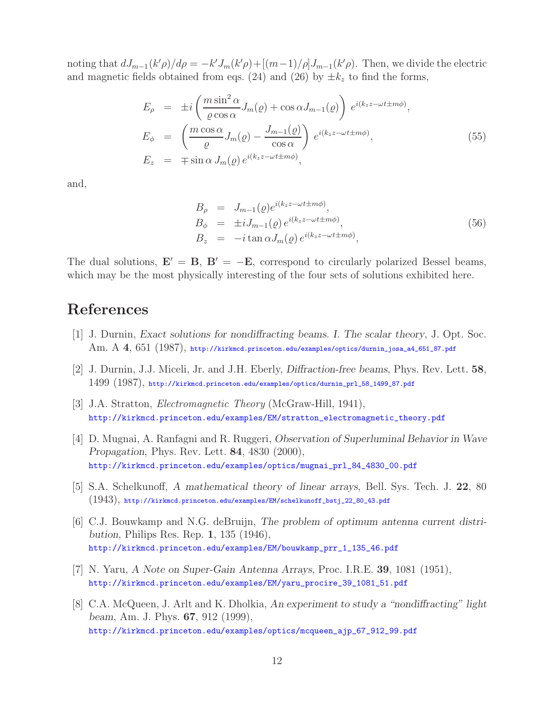noting that  $dJ_{m-1}(k'\rho)/d\rho = -k'J_m(k'\rho) + [(m-1)/\rho]J_{m-1}(k'\rho)$ . Then, we divide the electric and magnetic fields obtained from eqs. (24) and (26) by  $\pm k_z$  to find the forms,

$$
E_{\rho} = \pm i \left( \frac{m \sin^2 \alpha}{\varrho \cos \alpha} J_m(\varrho) + \cos \alpha J_{m-1}(\varrho) \right) e^{i(k_z z - \omega t \pm m\phi)},
$$
  
\n
$$
E_{\phi} = \left( \frac{m \cos \alpha}{\varrho} J_m(\varrho) - \frac{J_{m-1}(\varrho)}{\cos \alpha} \right) e^{i(k_z z - \omega t \pm m\phi)},
$$
  
\n
$$
E_z = \mp \sin \alpha J_m(\varrho) e^{i(k_z z - \omega t \pm m\phi)},
$$
\n(55)

and,

$$
B_{\rho} = J_{m-1}(\rho)e^{i(k_z z - \omega t \pm m\phi)},
$$
  
\n
$$
B_{\phi} = \pm i J_{m-1}(\rho)e^{i(k_z z - \omega t \pm m\phi)},
$$
  
\n
$$
B_z = -i \tan \alpha J_m(\rho)e^{i(k_z z - \omega t \pm m\phi)},
$$
\n(56)

The dual solutions,  $\mathbf{E}' = \mathbf{B}$ ,  $\mathbf{B}' = -\mathbf{E}$ , correspond to circularly polarized Bessel beams, which may be the most physically interesting of the four sets of solutions exhibited here.

# **References**

- [1] J. Durnin, *Exact solutions for nondiffracting beams. I. The scalar theory*, J. Opt. Soc. Am. A **4**, 651 (1987), http://kirkmcd.princeton.edu/examples/optics/durnin\_josa\_a4\_651\_87.pdf
- [2] J. Durnin, J.J. Miceli, Jr. and J.H. Eberly, *Diffraction-free beams*, Phys. Rev. Lett. **58**, 1499 (1987), http://kirkmcd.princeton.edu/examples/optics/durnin\_prl\_58\_1499\_87.pdf
- [3] J.A. Stratton, *Electromagnetic Theory* (McGraw-Hill, 1941), http://kirkmcd.princeton.edu/examples/EM/stratton\_electromagnetic\_theory.pdf
- [4] D. Mugnai, A. Ranfagni and R. Ruggeri, *Observation of Superluminal Behavior in Wave Propagation*, Phys. Rev. Lett. **84**, 4830 (2000), http://kirkmcd.princeton.edu/examples/optics/mugnai\_prl\_84\_4830\_00.pdf
- [5] S.A. Schelkunoff, *A mathematical theory of linear arrays*, Bell. Sys. Tech. J. **22**, 80 (1943), http://kirkmcd.princeton.edu/examples/EM/schelkunoff\_bstj\_22\_80\_43.pdf
- [6] C.J. Bouwkamp and N.G. deBruijn, *The problem of optimum antenna current distribution*, Philips Res. Rep. **1**, 135 (1946), http://kirkmcd.princeton.edu/examples/EM/bouwkamp\_prr\_1\_135\_46.pdf
- [7] N. Yaru, *A Note on Super-Gain Antenna Arrays*, Proc. I.R.E. **39**, 1081 (1951), http://kirkmcd.princeton.edu/examples/EM/yaru\_procire\_39\_1081\_51.pdf
- [8] C.A. McQueen, J. Arlt and K. Dholkia, *An experiment to study a "nondiffracting" light beam*, Am. J. Phys. **67**, 912 (1999), http://kirkmcd.princeton.edu/examples/optics/mcqueen\_ajp\_67\_912\_99.pdf